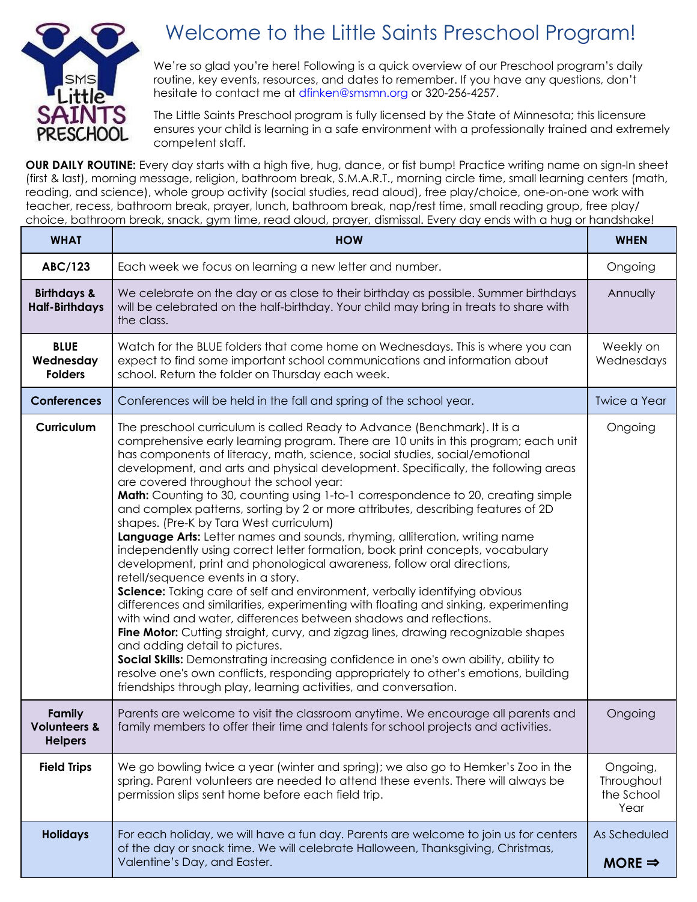

## Welcome to the Little Saints Preschool Program!

We're so glad you're here! Following is a quick overview of our Preschool program's daily routine, key events, resources, and dates to remember. If you have any questions, don't hesitate to contact me at dfinken@smsmn.org or 320-256-4257.

The Little Saints Preschool program is fully licensed by the State of Minnesota; this licensure ensures your child is learning in a safe environment with a professionally trained and extremely competent staff.

**OUR DAILY ROUTINE:** Every day starts with a high five, hug, dance, or fist bump! Practice writing name on sign-In sheet (first & last), morning message, religion, bathroom break, S.M.A.R.T., morning circle time, small learning centers (math, reading, and science), whole group activity (social studies, read aloud), free play/choice, one-on-one work with teacher, recess, bathroom break, prayer, lunch, bathroom break, nap/rest time, small reading group, free play/ choice, bathroom break, snack, gym time, read aloud, prayer, dismissal. Every day ends with a hug or handshake!

| <b>WHAT</b>                                         | <b>HOW</b>                                                                                                                                                                                                                                                                                                                                                                                                                                                                                                                                                                                                                                                                                                                                                                                                                                                                                                                                                                                                                                                                                                                                                                                                                                                                                                                                                                                                                                                                                              | <b>WHEN</b>                                  |
|-----------------------------------------------------|---------------------------------------------------------------------------------------------------------------------------------------------------------------------------------------------------------------------------------------------------------------------------------------------------------------------------------------------------------------------------------------------------------------------------------------------------------------------------------------------------------------------------------------------------------------------------------------------------------------------------------------------------------------------------------------------------------------------------------------------------------------------------------------------------------------------------------------------------------------------------------------------------------------------------------------------------------------------------------------------------------------------------------------------------------------------------------------------------------------------------------------------------------------------------------------------------------------------------------------------------------------------------------------------------------------------------------------------------------------------------------------------------------------------------------------------------------------------------------------------------------|----------------------------------------------|
| <b>ABC/123</b>                                      | Each week we focus on learning a new letter and number.                                                                                                                                                                                                                                                                                                                                                                                                                                                                                                                                                                                                                                                                                                                                                                                                                                                                                                                                                                                                                                                                                                                                                                                                                                                                                                                                                                                                                                                 | Ongoing                                      |
| <b>Birthdays &amp;</b><br><b>Half-Birthdays</b>     | We celebrate on the day or as close to their birthday as possible. Summer birthdays<br>will be celebrated on the half-birthday. Your child may bring in treats to share with<br>the class.                                                                                                                                                                                                                                                                                                                                                                                                                                                                                                                                                                                                                                                                                                                                                                                                                                                                                                                                                                                                                                                                                                                                                                                                                                                                                                              | Annually                                     |
| <b>BLUE</b><br>Wednesday<br><b>Folders</b>          | Watch for the BLUE folders that come home on Wednesdays. This is where you can<br>expect to find some important school communications and information about<br>school. Return the folder on Thursday each week.                                                                                                                                                                                                                                                                                                                                                                                                                                                                                                                                                                                                                                                                                                                                                                                                                                                                                                                                                                                                                                                                                                                                                                                                                                                                                         | Weekly on<br>Wednesdays                      |
| <b>Conferences</b>                                  | Conferences will be held in the fall and spring of the school year.                                                                                                                                                                                                                                                                                                                                                                                                                                                                                                                                                                                                                                                                                                                                                                                                                                                                                                                                                                                                                                                                                                                                                                                                                                                                                                                                                                                                                                     | <b>Twice a Year</b>                          |
| Curriculum                                          | The preschool curriculum is called Ready to Advance (Benchmark). It is a<br>comprehensive early learning program. There are 10 units in this program; each unit<br>has components of literacy, math, science, social studies, social/emotional<br>development, and arts and physical development. Specifically, the following areas<br>are covered throughout the school year:<br>Math: Counting to 30, counting using 1-to-1 correspondence to 20, creating simple<br>and complex patterns, sorting by 2 or more attributes, describing features of 2D<br>shapes. (Pre-K by Tara West curriculum)<br>Language Arts: Letter names and sounds, rhyming, alliteration, writing name<br>independently using correct letter formation, book print concepts, vocabulary<br>development, print and phonological awareness, follow oral directions,<br>retell/sequence events in a story.<br>Science: Taking care of self and environment, verbally identifying obvious<br>differences and similarities, experimenting with floating and sinking, experimenting<br>with wind and water, differences between shadows and reflections.<br>Fine Motor: Cutting straight, curvy, and zigzag lines, drawing recognizable shapes<br>and adding detail to pictures.<br>Social Skills: Demonstrating increasing confidence in one's own ability, ability to<br>resolve one's own conflicts, responding appropriately to other's emotions, building<br>friendships through play, learning activities, and conversation. | Ongoing                                      |
| Family<br><b>Volunteers &amp;</b><br><b>Helpers</b> | Parents are welcome to visit the classroom anytime. We encourage all parents and<br>family members to offer their time and talents for school projects and activities.                                                                                                                                                                                                                                                                                                                                                                                                                                                                                                                                                                                                                                                                                                                                                                                                                                                                                                                                                                                                                                                                                                                                                                                                                                                                                                                                  | Ongoing                                      |
| <b>Field Trips</b>                                  | We go bowling twice a year (winter and spring); we also go to Hemker's Zoo in the<br>spring. Parent volunteers are needed to attend these events. There will always be<br>permission slips sent home before each field trip.                                                                                                                                                                                                                                                                                                                                                                                                                                                                                                                                                                                                                                                                                                                                                                                                                                                                                                                                                                                                                                                                                                                                                                                                                                                                            | Ongoing,<br>Throughout<br>the School<br>Year |
| <b>Holidays</b>                                     | For each holiday, we will have a fun day. Parents are welcome to join us for centers<br>of the day or snack time. We will celebrate Halloween, Thanksgiving, Christmas,<br>Valentine's Day, and Easter.                                                                                                                                                                                                                                                                                                                                                                                                                                                                                                                                                                                                                                                                                                                                                                                                                                                                                                                                                                                                                                                                                                                                                                                                                                                                                                 | As Scheduled<br>MORE $\Rightarrow$           |